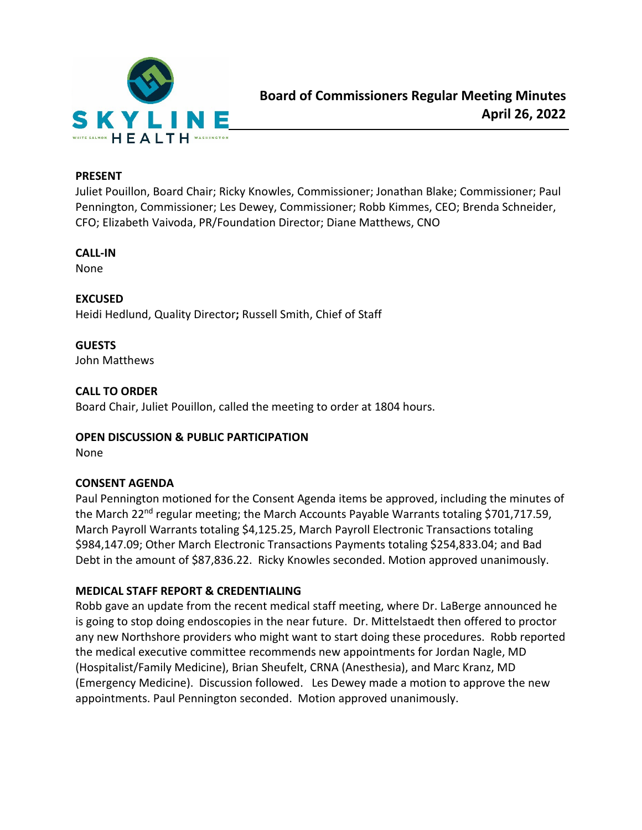

#### **PRESENT**

Juliet Pouillon, Board Chair; Ricky Knowles, Commissioner; Jonathan Blake; Commissioner; Paul Pennington, Commissioner; Les Dewey, Commissioner; Robb Kimmes, CEO; Brenda Schneider, CFO; Elizabeth Vaivoda, PR/Foundation Director; Diane Matthews, CNO

### **CALL-IN**

None

## **EXCUSED**

Heidi Hedlund, Quality Director**;** Russell Smith, Chief of Staff

### **GUESTS**

John Matthews

### **CALL TO ORDER**

Board Chair, Juliet Pouillon, called the meeting to order at 1804 hours.

#### **OPEN DISCUSSION & PUBLIC PARTICIPATION**

None

## **CONSENT AGENDA**

Paul Pennington motioned for the Consent Agenda items be approved, including the minutes of the March 22<sup>nd</sup> regular meeting; the March Accounts Payable Warrants totaling \$701,717.59, March Payroll Warrants totaling \$4,125.25, March Payroll Electronic Transactions totaling \$984,147.09; Other March Electronic Transactions Payments totaling \$254,833.04; and Bad Debt in the amount of \$87,836.22. Ricky Knowles seconded. Motion approved unanimously.

## **MEDICAL STAFF REPORT & CREDENTIALING**

Robb gave an update from the recent medical staff meeting, where Dr. LaBerge announced he is going to stop doing endoscopies in the near future. Dr. Mittelstaedt then offered to proctor any new Northshore providers who might want to start doing these procedures. Robb reported the medical executive committee recommends new appointments for Jordan Nagle, MD (Hospitalist/Family Medicine), Brian Sheufelt, CRNA (Anesthesia), and Marc Kranz, MD (Emergency Medicine). Discussion followed. Les Dewey made a motion to approve the new appointments. Paul Pennington seconded. Motion approved unanimously.